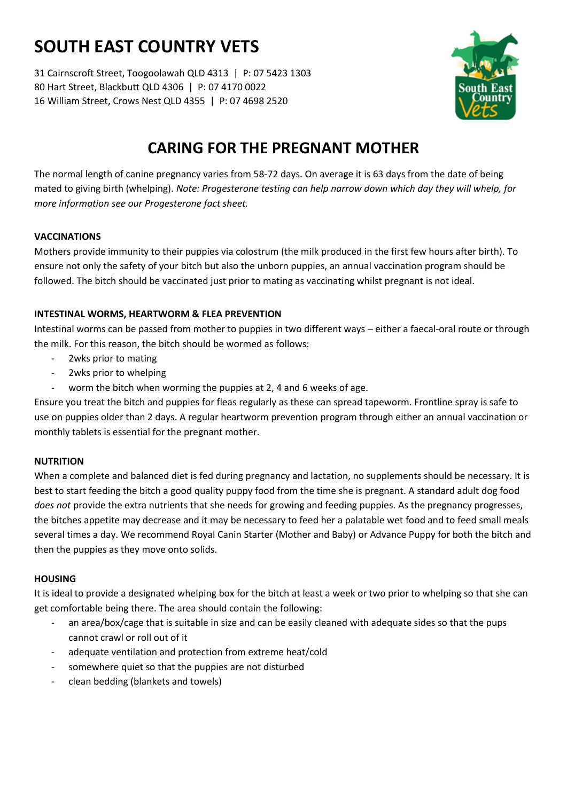# **SOUTH EAST COUNTRY VETS**

31 Cairnscroft Street, Toogoolawah QLD 4313 | P: 07 5423 1303 80 Hart Street, Blackbutt QLD 4306 | P: 07 4170 0022 16 William Street, Crows Nest QLD 4355 | P: 07 4698 2520



### **CARING FOR THE PREGNANT MOTHER**

The normal length of canine pregnancy varies from 58-72 days. On average it is 63 days from the date of being mated to giving birth (whelping). *Note: Progesterone testing can help narrow down which day they will whelp, for more information see our Progesterone fact sheet.*

#### **VACCINATIONS**

Mothers provide immunity to their puppies via colostrum (the milk produced in the first few hours after birth). To ensure not only the safety of your bitch but also the unborn puppies, an annual vaccination program should be followed. The bitch should be vaccinated just prior to mating as vaccinating whilst pregnant is not ideal.

#### **INTESTINAL WORMS, HEARTWORM & FLEA PREVENTION**

Intestinal worms can be passed from mother to puppies in two different ways – either a faecal-oral route or through the milk. For this reason, the bitch should be wormed as follows:

- 2wks prior to mating
- 2wks prior to whelping
- worm the bitch when worming the puppies at 2, 4 and 6 weeks of age.

Ensure you treat the bitch and puppies for fleas regularly as these can spread tapeworm. Frontline spray is safe to use on puppies older than 2 days. A regular heartworm prevention program through either an annual vaccination or monthly tablets is essential for the pregnant mother.

#### **NUTRITION**

When a complete and balanced diet is fed during pregnancy and lactation, no supplements should be necessary. It is best to start feeding the bitch a good quality puppy food from the time she is pregnant. A standard adult dog food *does not* provide the extra nutrients that she needs for growing and feeding puppies. As the pregnancy progresses, the bitches appetite may decrease and it may be necessary to feed her a palatable wet food and to feed small meals several times a day. We recommend Royal Canin Starter (Mother and Baby) or Advance Puppy for both the bitch and then the puppies as they move onto solids.

#### **HOUSING**

It is ideal to provide a designated whelping box for the bitch at least a week or two prior to whelping so that she can get comfortable being there. The area should contain the following:

- an area/box/cage that is suitable in size and can be easily cleaned with adequate sides so that the pups cannot crawl or roll out of it
- adequate ventilation and protection from extreme heat/cold
- somewhere quiet so that the puppies are not disturbed
- clean bedding (blankets and towels)